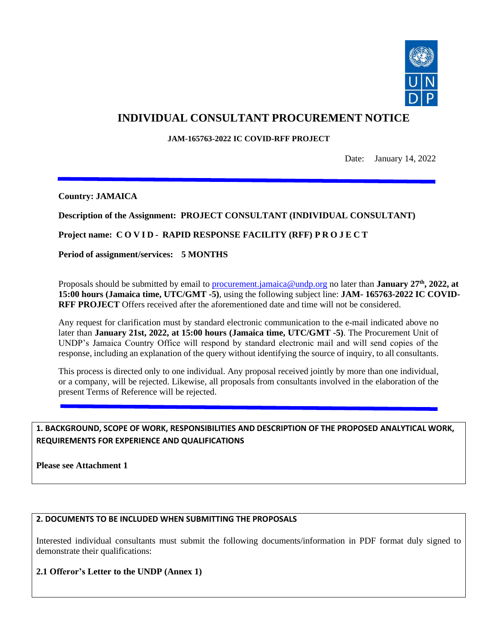

# **INDIVIDUAL CONSULTANT PROCUREMENT NOTICE**

**JAM-165763-2022 IC COVID-RFF PROJECT**

Date: January 14, 2022

### **Country: JAMAICA**

**Description of the Assignment: PROJECT CONSULTANT (INDIVIDUAL CONSULTANT)** 

**Project name: C O V I D - RAPID RESPONSE FACILITY (RFF) P R O J E C T**

**Period of assignment/services: 5 MONTHS**

Proposals should be submitted by email to **procurement.jamaica@undp.org** no later than **January 27<sup>th</sup>**, 2022, at **15:00 hours (Jamaica time, UTC/GMT -5)**, using the following subject line: **JAM- 165763-2022 IC COVID-RFF PROJECT** Offers received after the aforementioned date and time will not be considered.

Any request for clarification must by standard electronic communication to the e-mail indicated above no later than **January 21st, 2022, at 15:00 hours (Jamaica time, UTC/GMT -5)**. The Procurement Unit of UNDP's Jamaica Country Office will respond by standard electronic mail and will send copies of the response, including an explanation of the query without identifying the source of inquiry, to all consultants.

This process is directed only to one individual. Any proposal received jointly by more than one individual, or a company, will be rejected. Likewise, all proposals from consultants involved in the elaboration of the present Terms of Reference will be rejected.

# **1. BACKGROUND, SCOPE OF WORK, RESPONSIBILITIES AND DESCRIPTION OF THE PROPOSED ANALYTICAL WORK, REQUIREMENTS FOR EXPERIENCE AND QUALIFICATIONS**

**Please see Attachment 1**

### **2. DOCUMENTS TO BE INCLUDED WHEN SUBMITTING THE PROPOSALS**

Interested individual consultants must submit the following documents/information in PDF format duly signed to demonstrate their qualifications:

### **2.1 Offeror's Letter to the UNDP (Annex 1)**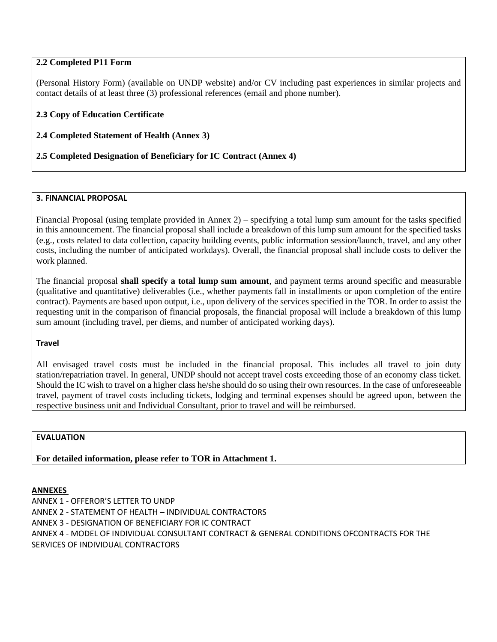### **2.2 Completed P11 Form**

(Personal History Form) (available on UNDP website) and/or CV including past experiences in similar projects and contact details of at least three (3) professional references (email and phone number).

# **2.3 Copy of Education Certificate**

**2.4 Completed Statement of Health (Annex 3)** 

## **2.5 Completed Designation of Beneficiary for IC Contract (Annex 4)**

### **3. FINANCIAL PROPOSAL**

Financial Proposal (using template provided in Annex 2) – specifying a total lump sum amount for the tasks specified in this announcement. The financial proposal shall include a breakdown of this lump sum amount for the specified tasks (e.g., costs related to data collection, capacity building events, public information session/launch, travel, and any other costs, including the number of anticipated workdays). Overall, the financial proposal shall include costs to deliver the work planned.

The financial proposal **shall specify a total lump sum amount**, and payment terms around specific and measurable (qualitative and quantitative) deliverables (i.e., whether payments fall in installments or upon completion of the entire contract). Payments are based upon output, i.e., upon delivery of the services specified in the TOR. In order to assist the requesting unit in the comparison of financial proposals, the financial proposal will include a breakdown of this lump sum amount (including travel, per diems, and number of anticipated working days).

### **Travel**

All envisaged travel costs must be included in the financial proposal. This includes all travel to join duty station/repatriation travel. In general, UNDP should not accept travel costs exceeding those of an economy class ticket. Should the IC wish to travel on a higher class he/she should do so using their own resources. In the case of unforeseeable travel, payment of travel costs including tickets, lodging and terminal expenses should be agreed upon, between the respective business unit and Individual Consultant, prior to travel and will be reimbursed.

### **EVALUATION**

**For detailed information, please refer to TOR in Attachment 1.**

### **ANNEXES**

ANNEX 1 - OFFEROR'S LETTER TO UNDP ANNEX 2 - STATEMENT OF HEALTH – INDIVIDUAL CONTRACTORS ANNEX 3 - DESIGNATION OF BENEFICIARY FOR IC CONTRACT ANNEX 4 - MODEL OF INDIVIDUAL CONSULTANT CONTRACT & GENERAL CONDITIONS OFCONTRACTS FOR THE SERVICES OF INDIVIDUAL CONTRACTORS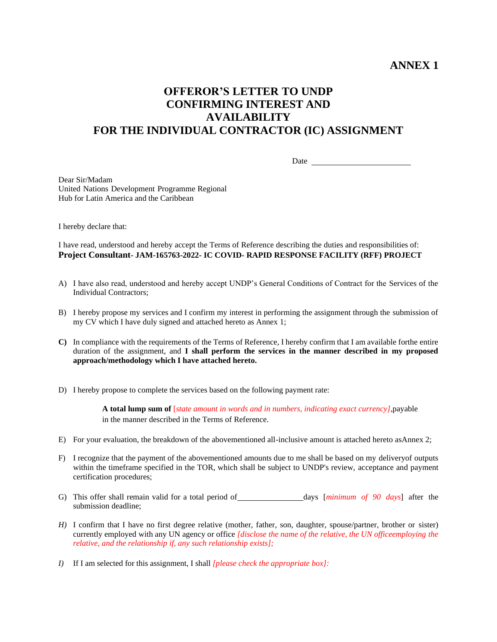# **OFFEROR'S LETTER TO UNDP CONFIRMING INTEREST AND AVAILABILITY FOR THE INDIVIDUAL CONTRACTOR (IC) ASSIGNMENT**

Date and the state of the state of the state of the state of the state of the state of the state of the state of the state of the state of the state of the state of the state of the state of the state of the state of the s

Dear Sir/Madam United Nations Development Programme Regional Hub for Latin America and the Caribbean

I hereby declare that:

I have read, understood and hereby accept the Terms of Reference describing the duties and responsibilities of: **Project Consultant- JAM-165763-2022- IC COVID- RAPID RESPONSE FACILITY (RFF) PROJECT** 

- A) I have also read, understood and hereby accept UNDP's General Conditions of Contract for the Services of the Individual Contractors;
- B) I hereby propose my services and I confirm my interest in performing the assignment through the submission of my CV which I have duly signed and attached hereto as Annex 1;
- **C)** In compliance with the requirements of the Terms of Reference, I hereby confirm that I am available forthe entire duration of the assignment, and **I shall perform the services in the manner described in my proposed approach/methodology which I have attached hereto.**
- D) I hereby propose to complete the services based on the following payment rate:

**A total lump sum of** [*state amount in words and in numbers, indicating exact currency]*,payable in the manner described in the Terms of Reference.

- E) For your evaluation, the breakdown of the abovementioned all-inclusive amount is attached hereto asAnnex 2;
- F) I recognize that the payment of the abovementioned amounts due to me shall be based on my deliveryof outputs within the timeframe specified in the TOR, which shall be subject to UNDP's review, acceptance and payment certification procedures;
- G) This offer shall remain valid for a total period of days [*minimum of 90 days*] after the submission deadline;
- *H)* I confirm that I have no first degree relative (mother, father, son, daughter, spouse/partner, brother or sister) currently employed with any UN agency or office *[disclose the name of the relative, the UN officeemploying the relative, and the relationship if, any such relationship exists];*
- *I)* If I am selected for this assignment, I shall *[please check the appropriate box]:*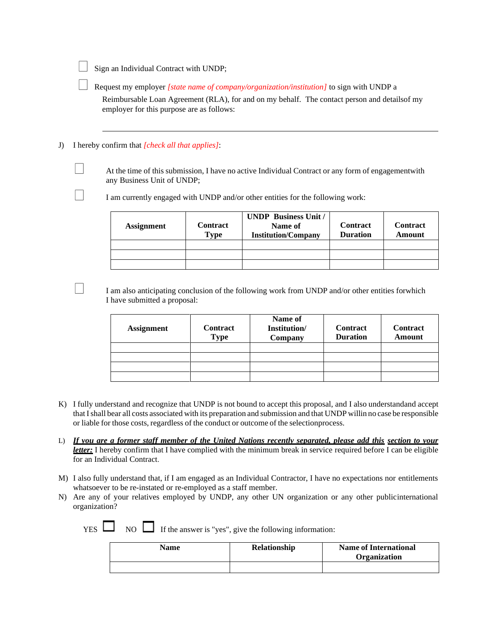Sign an Individual Contract with UNDP;

Request my employer *[state name of company/organization/institution]* to sign with UNDP a

Reimbursable Loan Agreement (RLA), for and on my behalf. The contact person and detailsof my employer for this purpose are as follows:

#### J) I hereby confirm that *[check all that applies]*:

At the time of this submission, I have no active Individual Contract or any form of engagementwith any Business Unit of UNDP;

I am currently engaged with UNDP and/or other entities for the following work:

| <b>Assignment</b> | <b>Contract</b><br><b>Type</b> | <b>UNDP</b> Business Unit /<br>Name of<br><b>Institution/Company</b> | <b>Contract</b><br><b>Duration</b> | <b>Contract</b><br>Amount |
|-------------------|--------------------------------|----------------------------------------------------------------------|------------------------------------|---------------------------|
|                   |                                |                                                                      |                                    |                           |
|                   |                                |                                                                      |                                    |                           |
|                   |                                |                                                                      |                                    |                           |

I am also anticipating conclusion of the following work from UNDP and/or other entities forwhich I have submitted a proposal:

| <b>Assignment</b> | <b>Contract</b><br><b>Type</b> | Name of<br>Institution/<br>Company | <b>Contract</b><br><b>Duration</b> | <b>Contract</b><br><b>Amount</b> |
|-------------------|--------------------------------|------------------------------------|------------------------------------|----------------------------------|
|                   |                                |                                    |                                    |                                  |
|                   |                                |                                    |                                    |                                  |
|                   |                                |                                    |                                    |                                  |
|                   |                                |                                    |                                    |                                  |

- K) I fully understand and recognize that UNDP is not bound to accept this proposal, and I also understandand accept that I shall bear all costs associated with its preparation and submission and that UNDP willin no case be responsible or liable for those costs, regardless of the conduct or outcome of the selectionprocess.
- L) If you are a former staff member of the United Nations recently separated, please add this section to your *letter:* I hereby confirm that I have complied with the minimum break in service required before I can be eligible for an Individual Contract.
- M) I also fully understand that, if I am engaged as an Individual Contractor, I have no expectations nor entitlements whatsoever to be re-instated or re-employed as a staff member.
- N) Are any of your relatives employed by UNDP, any other UN organization or any other publicinternational organization?

 $YES$  NO  $\Box$  If the answer is "yes", give the following information:

| <b>Name</b> | Relationship | <b>Name of International</b><br><b>Organization</b> |
|-------------|--------------|-----------------------------------------------------|
|             |              |                                                     |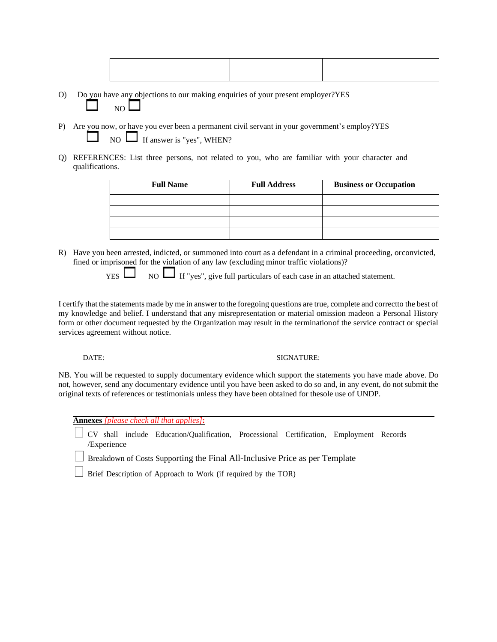- O) Do you have any objections to our making enquiries of your present employer?YES NO
- P) Are you now, or have you ever been a permanent civil servant in your government's employ?YES  $NO$  If answer is "yes", WHEN?
- Q) REFERENCES: List three persons, not related to you, who are familiar with your character and qualifications.

| <b>Full Name</b> | <b>Full Address</b> | <b>Business or Occupation</b> |
|------------------|---------------------|-------------------------------|
|                  |                     |                               |
|                  |                     |                               |
|                  |                     |                               |
|                  |                     |                               |

R) Have you been arrested, indicted, or summoned into court as a defendant in a criminal proceeding, orconvicted, fined or imprisoned for the violation of any law (excluding minor traffic violations)?

 $YES$  NO  $\Box$  If "yes", give full particulars of each case in an attached statement.

I certify that the statements made by me in answer to the foregoing questions are true, complete and correctto the best of my knowledge and belief. I understand that any misrepresentation or material omission madeon a Personal History form or other document requested by the Organization may result in the terminationof the service contract or special services agreement without notice.

DATE: SIGNATURE:

NB. You will be requested to supply documentary evidence which support the statements you have made above. Do not, however, send any documentary evidence until you have been asked to do so and, in any event, do not submit the original texts of references or testimonials unless they have been obtained for thesole use of UNDP.

**Annexes** *[please check all that applies]***:**

CV shall include Education/Qualification, Processional Certification, Employment Records /Experience

Breakdown of Costs Supporting the Final All-Inclusive Price as per Template

Brief Description of Approach to Work (if required by the TOR)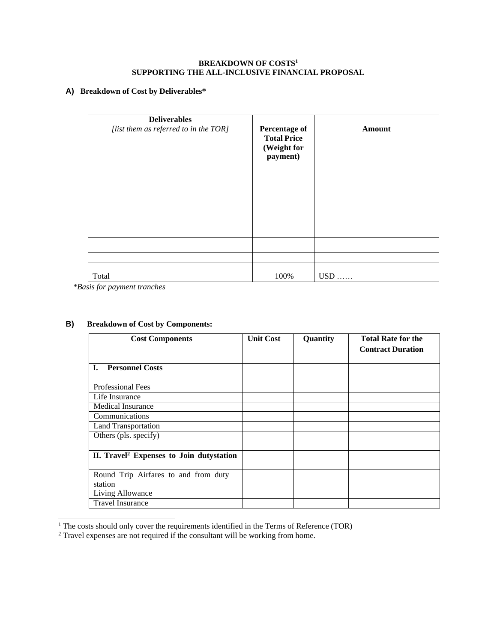#### **BREAKDOWN OF COSTS<sup>1</sup> SUPPORTING THE ALL-INCLUSIVE FINANCIAL PROPOSAL**

### **A) Breakdown of Cost by Deliverables\***

| <b>Deliverables</b><br>[list them as referred to in the TOR] | Percentage of<br><b>Total Price</b><br>(Weight for<br>payment) | <b>Amount</b> |
|--------------------------------------------------------------|----------------------------------------------------------------|---------------|
|                                                              |                                                                |               |
|                                                              |                                                                |               |
|                                                              |                                                                |               |
|                                                              |                                                                |               |
|                                                              |                                                                |               |
| Total                                                        | 100%                                                           | $USD$         |

*<sup>\*</sup>Basis for payment tranches*

| <b>Cost Components</b>                               | <b>Unit Cost</b> | Quantity | <b>Total Rate for the</b><br><b>Contract Duration</b> |
|------------------------------------------------------|------------------|----------|-------------------------------------------------------|
|                                                      |                  |          |                                                       |
| L.<br><b>Personnel Costs</b>                         |                  |          |                                                       |
| <b>Professional Fees</b>                             |                  |          |                                                       |
| Life Insurance                                       |                  |          |                                                       |
| Medical Insurance                                    |                  |          |                                                       |
| Communications                                       |                  |          |                                                       |
| <b>Land Transportation</b>                           |                  |          |                                                       |
| Others (pls. specify)                                |                  |          |                                                       |
|                                                      |                  |          |                                                       |
| II. Travel <sup>2</sup> Expenses to Join dutystation |                  |          |                                                       |
| Round Trip Airfares to and from duty                 |                  |          |                                                       |
| station                                              |                  |          |                                                       |
| Living Allowance                                     |                  |          |                                                       |
| <b>Travel Insurance</b>                              |                  |          |                                                       |

### **B) Breakdown of Cost by Components:**

 $1$ <sup>1</sup> The costs should only cover the requirements identified in the Terms of Reference (TOR)

 $2$  Travel expenses are not required if the consultant will be working from home.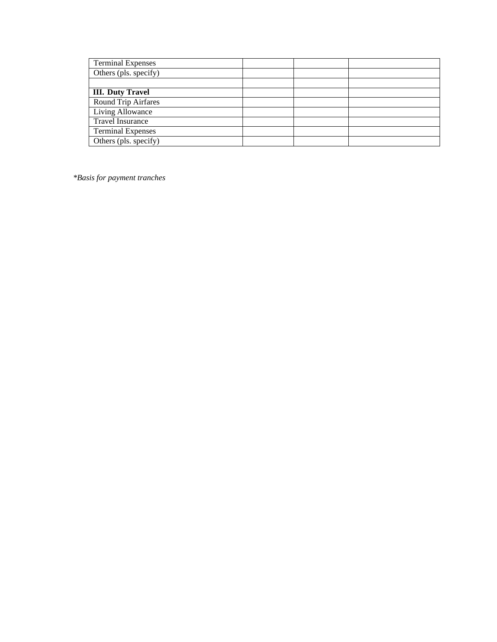| <b>Terminal Expenses</b>   |  |  |
|----------------------------|--|--|
| Others (pls. specify)      |  |  |
|                            |  |  |
| <b>III.</b> Duty Travel    |  |  |
| <b>Round Trip Airfares</b> |  |  |
| Living Allowance           |  |  |
| Travel Insurance           |  |  |
| <b>Terminal Expenses</b>   |  |  |
| Others (pls. specify)      |  |  |

*\*Basis for payment tranches*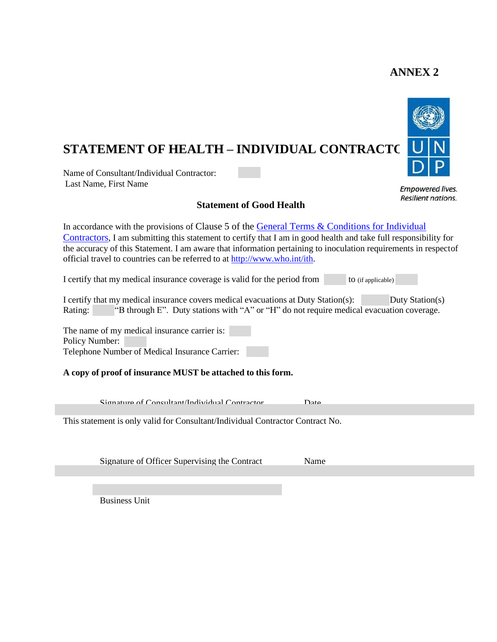

**Empowered lives. Resilient nations.** 

# **STATEMENT OF HEALTH - INDIVIDUAL CONTRACTORS**

Name of Consultant/Individual Contractor: Last Name, First Name

### **Statement of Good Health**

In accordance with the provisions of Clause 5 of the General Terms & Conditions for Individual Contractors, I am submitting this statement to certify that I am in good health and take full responsibility for the accuracy of this Statement. I am aware that information pertaining to inoculation requirements in respectof official travel to countries can be referred to at [http://www.who.int/ith.](http://www.who.int/ith)

I certify that my medical insurance coverage is valid for the period from  $\vert$  to (if applicable)

I certify that my medical insurance covers medical evacuations at Duty Station(s): Duty Station(s) Rating: "B through E". Duty stations with "A" or "H" do not require medical evacuation coverage.

The name of my medical insurance carrier is: Policy Number: Telephone Number of Medical Insurance Carrier:

**A copy of proof of insurance MUST be attached to this form.**

Signature of Consultant/Individual Contractor Date

This statement is only valid for Consultant/Individual Contractor Contract No.

Signature of Officer Supervising the Contract Name

Business Unit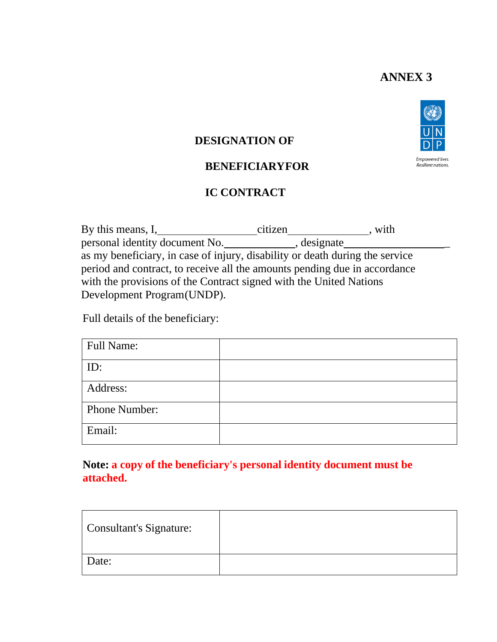# **DESIGNATION OF**

# **BENEFICIARYFOR**

# **IC CONTRACT**

By this means, I, citizen citizen with personal identity document No. \_\_\_\_\_\_\_\_\_\_\_\_\_\_, designate\_\_\_\_\_\_\_\_\_\_\_\_\_\_\_\_\_\_\_\_\_\_\_\_ as my beneficiary, in case of injury, disability or death during the service period and contract, to receive all the amounts pending due in accordance with the provisions of the Contract signed with the United Nations Development Program(UNDP).

Full details of the beneficiary:

| <b>Full Name:</b> |  |
|-------------------|--|
| ID:               |  |
| Address:          |  |
| Phone Number:     |  |
| Email:            |  |

# **Note: a copy of the beneficiary's personal identity document must be attached.**

| Consultant's Signature: |  |
|-------------------------|--|
| Date:                   |  |

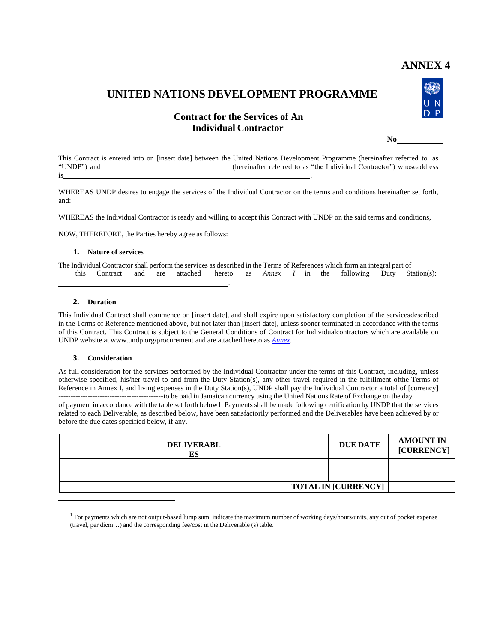# **UNITED NATIONS DEVELOPMENT PROGRAMME**

## **Contract for the Services of An Individual Contractor**

**No**

This Contract is entered into on [insert date] between the United Nations Development Programme (hereinafter referred to as "UNDP") and (hereinafter referred to as "the Individual Contractor") whoseaddress (hereinafter referred to as "the Individual Contractor") whoseaddress is <u>in the contract of the contract of the contract of the contract of the contract of the contract of</u>

WHEREAS UNDP desires to engage the services of the Individual Contractor on the terms and conditions hereinafter set forth, and:

WHEREAS the Individual Contractor is ready and willing to accept this Contract with UNDP on the said terms and conditions,

NOW, THEREFORE, the Parties hereby agree as follows:

#### **1. Nature of services**

The Individual Contractor shall perform the services as described in the Terms of References which form an integral part of this Contract and are attached hereto as *Annex I* in the following Duty Station(s):

.

#### **2. Duration**

This Individual Contract shall commence on [insert date], and shall expire upon satisfactory completion of the servicesdescribed in the Terms of Reference mentioned above, but not later than [insert date], unless sooner terminated in accordance with the terms of this Contract. This Contract is subject to the General Conditions of Contract for Individualcontractors which are available on UNDP website at [www.undp.org/procurement](http://www.undp.org/procurement) and are attached hereto as *[Annex.](https://intranet.undp.org/unit/bom/pso/Support%20documents%20on%20IC%20Guidelines/UNDP%20General%20Conditions%20for%20Individual%20Contracts.pdf)*

#### **3. Consideration**

As full consideration for the services performed by the Individual Contractor under the terms of this Contract, including, unless otherwise specified, his/her travel to and from the Duty Station(s), any other travel required in the fulfillment ofthe Terms of Reference in Annex I, and living expenses in the Duty Station(s), UNDP shall pay the Individual Contractor a total of [currency] -------------------------------------------to be paid in Jamaican currency using the United Nations Rate of Exchange on the day

of payment in accordance with the table set forth below1. Payments shall be made following certification by UNDP that the services related to each Deliverable, as described below, have been satisfactorily performed and the Deliverables have been achieved by or before the due dates specified below, if any.

| <b>DELIVERABL</b><br>ES | <b>DUE DATE</b>            | <b>AMOUNT IN</b><br>[CURRENCY] |
|-------------------------|----------------------------|--------------------------------|
|                         |                            |                                |
|                         |                            |                                |
|                         | <b>TOTAL IN [CURRENCY]</b> |                                |

<sup>1</sup> For payments which are not output-based lump sum, indicate the maximum number of working days/hours/units, any out of pocket expense (travel, per diem…) and the corresponding fee/cost in the Deliverable (s) table.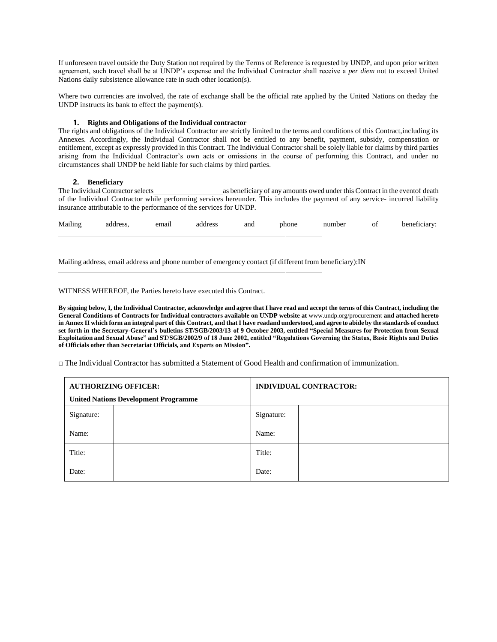If unforeseen travel outside the Duty Station not required by the Terms of Reference is requested by UNDP, and upon prior written agreement, such travel shall be at UNDP's expense and the Individual Contractor shall receive a *per diem* not to exceed United Nations daily subsistence allowance rate in such other location(s).

Where two currencies are involved, the rate of exchange shall be the official rate applied by the United Nations on theday the UNDP instructs its bank to effect the payment(s).

#### **1. Rights and Obligations of the Individual contractor**

The rights and obligations of the Individual Contractor are strictly limited to the terms and conditions of this Contract,including its Annexes. Accordingly, the Individual Contractor shall not be entitled to any benefit, payment, subsidy, compensation or entitlement, except as expressly provided in this Contract. The Individual Contractor shall be solely liable for claims by third parties arising from the Individual Contractor's own acts or omissions in the course of performing this Contract, and under no circumstances shall UNDP be held liable for such claims by third parties.

#### **2. Beneficiary**

The Individual Contractor selects as beneficiary of any amounts owed under this Contract in the eventof death of the Individual Contractor while performing services hereunder. This includes the payment of any service- incurred liability insurance attributable to the performance of the services for UNDP.

Mailing address, email address and phone number of beneficiary:

Mailing address, email address and phone number of emergency contact (if different from beneficiary):IN

WITNESS WHEREOF, the Parties hereto have executed this Contract.

By signing below, I, the Individual Contractor, acknowledge and agree that I have read and accept the terms of this Contract, including the **General Conditions of Contracts for Individual contractors available on UNDP website at** [www.undp.org/procurement](http://www.undp.org/procurement) **and attached hereto in Annex II which form an integral part of this Contract, and that I have readand understood, and agree to abideby the standards of conduct** set forth in the Secretary-General's bulletins ST/SGB/2003/13 of 9 October 2003, entitled "Special Measures for Protection from Sexual **Exploitation and Sexual Abuse" and ST/SGB/2002/9 of 18 June 2002, entitled "Regulations Governing the Status, Basic Rights and Duties of Officials other than Secretariat Officials, and Experts on Mission".**

 $\Box$  The Individual Contractor has submitted a Statement of Good Health and confirmation of immunization.

| <b>AUTHORIZING OFFICER:</b>                 |  | <b>INDIVIDUAL CONTRACTOR:</b> |  |
|---------------------------------------------|--|-------------------------------|--|
| <b>United Nations Development Programme</b> |  |                               |  |
| Signature:                                  |  | Signature:                    |  |
| Name:                                       |  | Name:                         |  |
| Title:                                      |  | Title:                        |  |
| Date:                                       |  | Date:                         |  |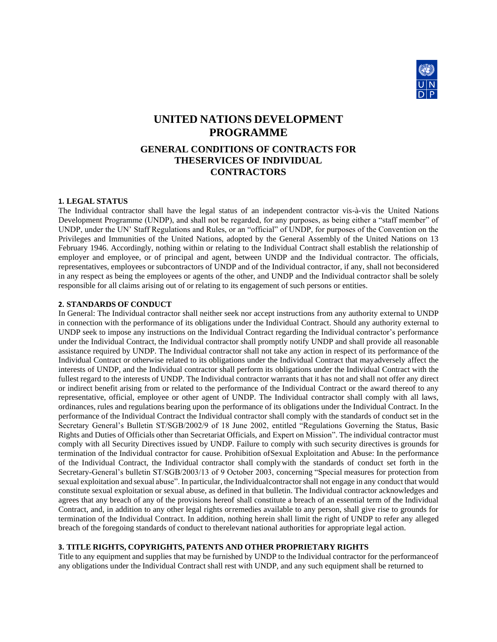

# **UNITED NATIONS DEVELOPMENT PROGRAMME GENERAL CONDITIONS OF CONTRACTS FOR THESERVICES OF INDIVIDUAL CONTRACTORS**

#### **1. LEGAL STATUS**

The Individual contractor shall have the legal status of an independent contractor vis-à-vis the United Nations Development Programme (UNDP), and shall not be regarded, for any purposes, as being either a "staff member" of UNDP, under the UN' Staff Regulations and Rules, or an "official" of UNDP, for purposes of the Convention on the Privileges and Immunities of the United Nations, adopted by the General Assembly of the United Nations on 13 February 1946. Accordingly, nothing within or relating to the Individual Contract shall establish the relationship of employer and employee, or of principal and agent, between UNDP and the Individual contractor. The officials, representatives, employees or subcontractors of UNDP and of the Individual contractor, if any, shall not beconsidered in any respect as being the employees or agents of the other, and UNDP and the Individual contractor shall be solely responsible for all claims arising out of or relating to its engagement of such persons or entities.

#### **2. STANDARDS OF CONDUCT**

In General: The Individual contractor shall neither seek nor accept instructions from any authority external to UNDP in connection with the performance of its obligations under the Individual Contract. Should any authority external to UNDP seek to impose any instructions on the Individual Contract regarding the Individual contractor's performance under the Individual Contract, the Individual contractor shall promptly notify UNDP and shall provide all reasonable assistance required by UNDP. The Individual contractor shall not take any action in respect of its performance of the Individual Contract or otherwise related to its obligations under the Individual Contract that mayadversely affect the interests of UNDP, and the Individual contractor shall perform its obligations under the Individual Contract with the fullest regard to the interests of UNDP. The Individual contractor warrants that it has not and shall not offer any direct or indirect benefit arising from or related to the performance of the Individual Contract or the award thereof to any representative, official, employee or other agent of UNDP. The Individual contractor shall comply with all laws, ordinances, rules and regulations bearing upon the performance of its obligations under the Individual Contract. In the performance of the Individual Contract the Individual contractor shall comply with the standards of conduct set in the Secretary General's Bulletin ST/SGB/2002/9 of 18 June 2002, entitled "Regulations Governing the Status, Basic Rights and Duties of Officials other than Secretariat Officials, and Expert on Mission". The individual contractor must comply with all Security Directives issued by UNDP. Failure to comply with such security directives is grounds for termination of the Individual contractor for cause. Prohibition ofSexual Exploitation and Abuse: In the performance of the Individual Contract, the Individual contractor shall complywith the standards of conduct set forth in the Secretary-General's bulletin ST/SGB/2003/13 of 9 October 2003, concerning "Special measures for protection from sexual exploitation and sexual abuse". In particular, the Individualcontractor shall not engage in any conduct that would constitute sexual exploitation or sexual abuse, as defined in that bulletin. The Individual contractor acknowledges and agrees that any breach of any of the provisions hereof shall constitute a breach of an essential term of the Individual Contract, and, in addition to any other legal rights orremedies available to any person, shall give rise to grounds for termination of the Individual Contract. In addition, nothing herein shall limit the right of UNDP to refer any alleged breach of the foregoing standards of conduct to therelevant national authorities for appropriate legal action.

#### **3. TITLE RIGHTS, COPYRIGHTS, PATENTS AND OTHER PROPRIETARY RIGHTS**

Title to any equipment and supplies that may be furnished by UNDP to the Individual contractor for the performanceof any obligations under the Individual Contract shall rest with UNDP, and any such equipment shall be returned to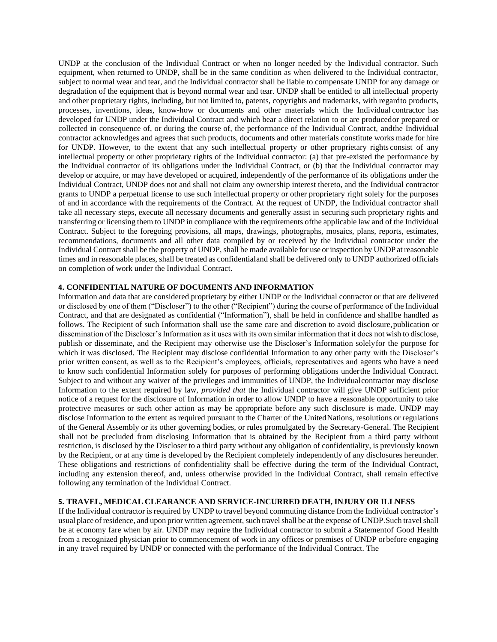UNDP at the conclusion of the Individual Contract or when no longer needed by the Individual contractor. Such equipment, when returned to UNDP, shall be in the same condition as when delivered to the Individual contractor, subject to normal wear and tear, and the Individual contractor shall be liable to compensate UNDP for any damage or degradation of the equipment that is beyond normal wear and tear. UNDP shall be entitled to all intellectual property and other proprietary rights, including, but not limited to, patents, copyrights and trademarks, with regardto products, processes, inventions, ideas, know-how or documents and other materials which the Individual contractor has developed for UNDP under the Individual Contract and which bear a direct relation to or are producedor prepared or collected in consequence of, or during the course of, the performance of the Individual Contract, andthe Individual contractor acknowledges and agrees that such products, documents and other materials constitute works made for hire for UNDP. However, to the extent that any such intellectual property or other proprietary rights consist of any intellectual property or other proprietary rights of the Individual contractor: (a) that pre-existed the performance by the Individual contractor of its obligations under the Individual Contract, or (b) that the Individual contractor may develop or acquire, or may have developed or acquired, independently of the performance of its obligations under the Individual Contract, UNDP does not and shall not claim any ownership interest thereto, and the Individual contractor grants to UNDP a perpetual license to use such intellectual property or other proprietary right solely for the purposes of and in accordance with the requirements of the Contract. At the request of UNDP, the Individual contractor shall take all necessary steps, execute all necessary documents and generally assist in securing such proprietary rights and transferring or licensing them to UNDP in compliance with the requirements ofthe applicable law and of the Individual Contract. Subject to the foregoing provisions, all maps, drawings, photographs, mosaics, plans, reports, estimates, recommendations, documents and all other data compiled by or received by the Individual contractor under the Individual Contract shall be the property of UNDP, shall be made available for use or inspection by UNDP at reasonable times and in reasonable places, shall be treated as confidentialand shall be delivered only to UNDP authorized officials on completion of work under the Individual Contract.

#### **4. CONFIDENTIAL NATURE OF DOCUMENTS AND INFORMATION**

Information and data that are considered proprietary by either UNDP or the Individual contractor or that are delivered or disclosed by one of them ("Discloser") to the other ("Recipient") during the course of performance of the Individual Contract, and that are designated as confidential ("Information"), shall be held in confidence and shallbe handled as follows. The Recipient of such Information shall use the same care and discretion to avoid disclosure,publication or dissemination of the Discloser's Information as it uses with its own similar information that it does not wish to disclose, publish or disseminate, and the Recipient may otherwise use the Discloser's Information solelyfor the purpose for which it was disclosed. The Recipient may disclose confidential Information to any other party with the Discloser's prior written consent, as well as to the Recipient's employees, officials, representatives and agents who have a need to know such confidential Information solely for purposes of performing obligations underthe Individual Contract. Subject to and without any waiver of the privileges and immunities of UNDP, the Individualcontractor may disclose Information to the extent required by law, *provided that* the Individual contractor will give UNDP sufficient prior notice of a request for the disclosure of Information in order to allow UNDP to have a reasonable opportunity to take protective measures or such other action as may be appropriate before any such disclosure is made. UNDP may disclose Information to the extent as required pursuant to the Charter of the UnitedNations, resolutions or regulations of the General Assembly or its other governing bodies, or rules promulgated by the Secretary-General. The Recipient shall not be precluded from disclosing Information that is obtained by the Recipient from a third party without restriction, is disclosed by the Discloser to a third party without any obligation of confidentiality, is previously known by the Recipient, or at any time is developed by the Recipient completely independently of any disclosures hereunder. These obligations and restrictions of confidentiality shall be effective during the term of the Individual Contract, including any extension thereof, and, unless otherwise provided in the Individual Contract, shall remain effective following any termination of the Individual Contract.

### **5. TRAVEL, MEDICAL CLEARANCE AND SERVICE-INCURRED DEATH, INJURY OR ILLNESS**

If the Individual contractor is required by UNDP to travel beyond commuting distance from the Individual contractor's usual place of residence, and upon prior written agreement, such travelshall be at the expense of UNDP.Such travelshall be at economy fare when by air. UNDP may require the Individual contractor to submit a Statementof Good Health from a recognized physician prior to commencement of work in any offices or premises of UNDP orbefore engaging in any travel required by UNDP or connected with the performance of the Individual Contract. The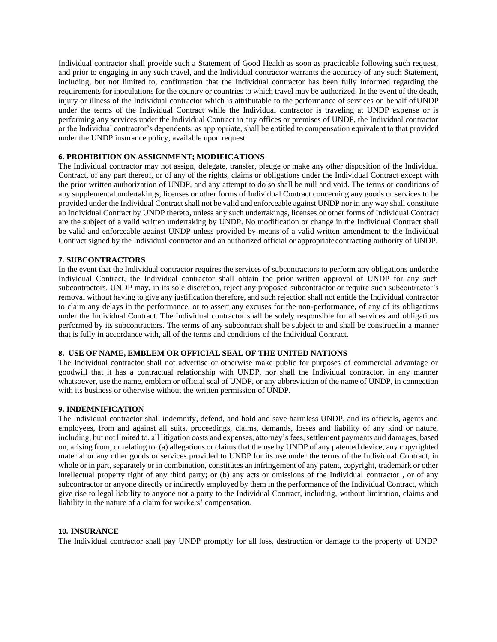Individual contractor shall provide such a Statement of Good Health as soon as practicable following such request, and prior to engaging in any such travel, and the Individual contractor warrants the accuracy of any such Statement, including, but not limited to, confirmation that the Individual contractor has been fully informed regarding the requirements for inoculations for the country or countries to which travel may be authorized. In the event of the death, injury or illness of the Individual contractor which is attributable to the performance of services on behalf ofUNDP under the terms of the Individual Contract while the Individual contractor is traveling at UNDP expense or is performing any services under the Individual Contract in any offices or premises of UNDP, the Individual contractor or the Individual contractor's dependents, as appropriate, shall be entitled to compensation equivalent to that provided under the UNDP insurance policy, available upon request.

#### **6. PROHIBITION ON ASSIGNMENT; MODIFICATIONS**

The Individual contractor may not assign, delegate, transfer, pledge or make any other disposition of the Individual Contract, of any part thereof, or of any of the rights, claims or obligations under the Individual Contract except with the prior written authorization of UNDP, and any attempt to do so shall be null and void. The terms or conditions of any supplemental undertakings, licenses or other forms of Individual Contract concerning any goods or services to be provided under the Individual Contract shall not be valid and enforceable against UNDP nor in any way shall constitute an Individual Contract by UNDP thereto, unless any such undertakings, licenses or other forms of Individual Contract are the subject of a valid written undertaking by UNDP. No modification or change in the Individual Contract shall be valid and enforceable against UNDP unless provided by means of a valid written amendment to the Individual Contract signed by the Individual contractor and an authorized official or appropriatecontracting authority of UNDP.

#### **7. SUBCONTRACTORS**

In the event that the Individual contractor requires the services of subcontractors to perform any obligations underthe Individual Contract, the Individual contractor shall obtain the prior written approval of UNDP for any such subcontractors. UNDP may, in its sole discretion, reject any proposed subcontractor or require such subcontractor's removal without having to give any justification therefore, and such rejection shall not entitle the Individual contractor to claim any delays in the performance, or to assert any excuses for the non-performance, of any of its obligations under the Individual Contract. The Individual contractor shall be solely responsible for all services and obligations performed by its subcontractors. The terms of any subcontract shall be subject to and shall be construedin a manner that is fully in accordance with, all of the terms and conditions of the Individual Contract.

#### **8. USE OF NAME, EMBLEM OR OFFICIAL SEAL OF THE UNITED NATIONS**

The Individual contractor shall not advertise or otherwise make public for purposes of commercial advantage or goodwill that it has a contractual relationship with UNDP, nor shall the Individual contractor, in any manner whatsoever, use the name, emblem or official seal of UNDP, or any abbreviation of the name of UNDP, in connection with its business or otherwise without the written permission of UNDP.

#### **9. INDEMNIFICATION**

The Individual contractor shall indemnify, defend, and hold and save harmless UNDP, and its officials, agents and employees, from and against all suits, proceedings, claims, demands, losses and liability of any kind or nature, including, but not limited to, all litigation costs and expenses, attorney's fees, settlement payments and damages, based on, arising from, or relating to: (a) allegations or claims that the use by UNDP of any patented device, any copyrighted material or any other goods or services provided to UNDP for its use under the terms of the Individual Contract, in whole or in part, separately or in combination, constitutes an infringement of any patent, copyright, trademark or other intellectual property right of any third party; or (b) any acts or omissions of the Individual contractor , or of any subcontractor or anyone directly or indirectly employed by them in the performance of the Individual Contract, which give rise to legal liability to anyone not a party to the Individual Contract, including, without limitation, claims and liability in the nature of a claim for workers' compensation.

#### **10. INSURANCE**

The Individual contractor shall pay UNDP promptly for all loss, destruction or damage to the property of UNDP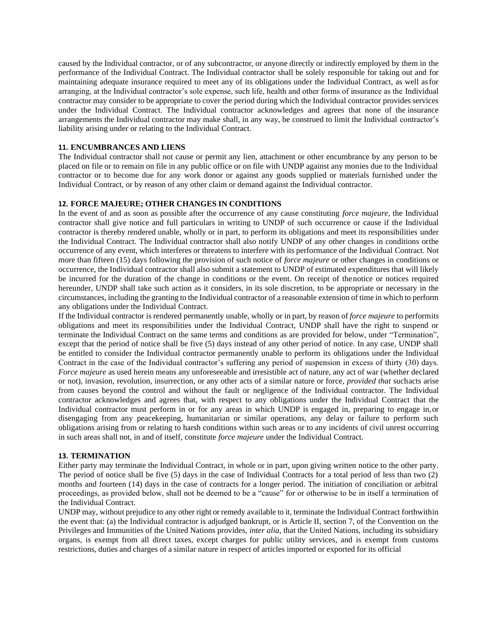caused by the Individual contractor, or of any subcontractor, or anyone directly or indirectly employed by them in the performance of the Individual Contract. The Individual contractor shall be solely responsible for taking out and for maintaining adequate insurance required to meet any of its obligations under the Individual Contract, as well asfor arranging, at the Individual contractor's sole expense, such life, health and other forms of insurance as the Individual contractor may consider to be appropriate to cover the period during which the Individual contractor provides services under the Individual Contract. The Individual contractor acknowledges and agrees that none of the insurance arrangements the Individual contractor may make shall, in any way, be construed to limit the Individual contractor's liability arising under or relating to the Individual Contract.

#### **11. ENCUMBRANCES AND LIENS**

The Individual contractor shall not cause or permit any lien, attachment or other encumbrance by any person to be placed on file or to remain on file in any public office or on file with UNDP against any monies due to the Individual contractor or to become due for any work donor or against any goods supplied or materials furnished under the Individual Contract, or by reason of any other claim or demand against the Individual contractor.

#### **12. FORCE MAJEURE; OTHER CHANGES IN CONDITIONS**

In the event of and as soon as possible after the occurrence of any cause constituting *force majeure*, the Individual contractor shall give notice and full particulars in writing to UNDP of such occurrence or cause if the Individual contractor is thereby rendered unable, wholly or in part, to perform its obligations and meet its responsibilities under the Individual Contract. The Individual contractor shall also notify UNDP of any other changes in conditions orthe occurrence of any event, which interferes or threatens to interfere with its performance of the Individual Contract. Not more than fifteen (15) days following the provision of such notice of *force majeure* or other changes in conditions or occurrence, the Individual contractor shall also submit a statement to UNDP of estimated expenditures that will likely be incurred for the duration of the change in conditions or the event. On receipt of thenotice or notices required hereunder, UNDP shall take such action as it considers, in its sole discretion, to be appropriate or necessary in the circumstances, including the granting to the Individual contractor of a reasonable extension of time in which to perform any obligations under the Individual Contract.

If the Individual contractor is rendered permanently unable, wholly or in part, by reason of *force majeure* to performits obligations and meet its responsibilities under the Individual Contract, UNDP shall have the right to suspend or terminate the Individual Contract on the same terms and conditions as are provided for below, under "Termination", except that the period of notice shall be five (5) days instead of any other period of notice. In any case, UNDP shall be entitled to consider the Individual contractor permanently unable to perform its obligations under the Individual Contract in the case of the Individual contractor's suffering any period of suspension in excess of thirty (30) days. *Force majeure* as used herein means any unforeseeable and irresistible act of nature, any act of war (whether declared or not), invasion, revolution, insurrection, or any other acts of a similar nature or force, *provided that* suchacts arise from causes beyond the control and without the fault or negligence of the Individual contractor. The Individual contractor acknowledges and agrees that, with respect to any obligations under the Individual Contract that the Individual contractor must perform in or for any areas in which UNDP is engaged in, preparing to engage in,or disengaging from any peacekeeping, humanitarian or similar operations, any delay or failure to perform such obligations arising from or relating to harsh conditions within such areas or to any incidents of civil unrest occurring in such areas shall not, in and of itself, constitute *force majeure* under the Individual Contract.

#### **13. TERMINATION**

Either party may terminate the Individual Contract, in whole or in part, upon giving written notice to the other party. The period of notice shall be five (5) days in the case of Individual Contracts for a total period of less than two (2) months and fourteen (14) days in the case of contracts for a longer period. The initiation of conciliation or arbitral proceedings, as provided below, shall not be deemed to be a "cause" for or otherwise to be in itself a termination of the Individual Contract.

UNDP may, without prejudice to any other right or remedy available to it, terminate the Individual Contract forthwithin the event that: (a) the Individual contractor is adjudged bankrupt, or is Article II, section 7, of the Convention on the Privileges and Immunities of the United Nations provides, *inter alia*, that the United Nations, including its subsidiary organs, is exempt from all direct taxes, except charges for public utility services, and is exempt from customs restrictions, duties and charges of a similar nature in respect of articles imported or exported for its official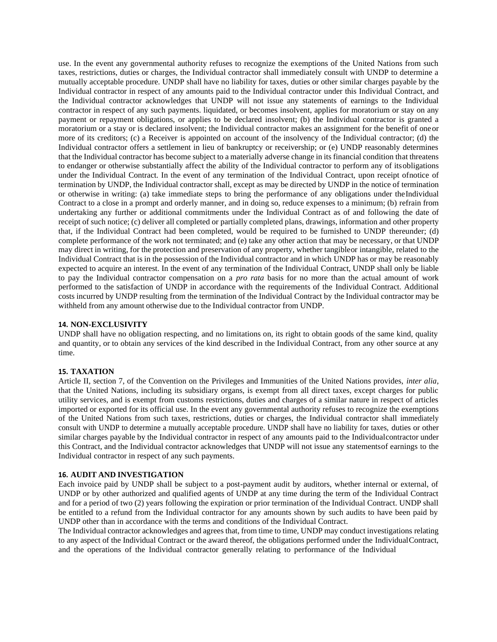use. In the event any governmental authority refuses to recognize the exemptions of the United Nations from such taxes, restrictions, duties or charges, the Individual contractor shall immediately consult with UNDP to determine a mutually acceptable procedure. UNDP shall have no liability for taxes, duties or other similar charges payable by the Individual contractor in respect of any amounts paid to the Individual contractor under this Individual Contract, and the Individual contractor acknowledges that UNDP will not issue any statements of earnings to the Individual contractor in respect of any such payments. liquidated, or becomes insolvent, applies for moratorium or stay on any payment or repayment obligations, or applies to be declared insolvent; (b) the Individual contractor is granted a moratorium or a stay or is declared insolvent; the Individual contractor makes an assignment for the benefit of oneor more of its creditors; (c) a Receiver is appointed on account of the insolvency of the Individual contractor; (d) the Individual contractor offers a settlement in lieu of bankruptcy or receivership; or (e) UNDP reasonably determines that the Individual contractor has become subject to a materially adverse change in its financial condition that threatens to endanger or otherwise substantially affect the ability of the Individual contractor to perform any of itsobligations under the Individual Contract. In the event of any termination of the Individual Contract, upon receipt ofnotice of termination by UNDP, the Individual contractor shall, except as may be directed by UNDP in the notice of termination or otherwise in writing: (a) take immediate steps to bring the performance of any obligations under theIndividual Contract to a close in a prompt and orderly manner, and in doing so, reduce expenses to a minimum; (b) refrain from undertaking any further or additional commitments under the Individual Contract as of and following the date of receipt of such notice; (c) deliver all completed or partially completed plans, drawings, information and other property that, if the Individual Contract had been completed, would be required to be furnished to UNDP thereunder; (d) complete performance of the work not terminated; and (e) take any other action that may be necessary, or that UNDP may direct in writing, for the protection and preservation of any property, whether tangibleor intangible, related to the Individual Contract that is in the possession of the Individual contractor and in which UNDP has or may be reasonably expected to acquire an interest. In the event of any termination of the Individual Contract, UNDP shall only be liable to pay the Individual contractor compensation on a *pro rata* basis for no more than the actual amount of work performed to the satisfaction of UNDP in accordance with the requirements of the Individual Contract. Additional costs incurred by UNDP resulting from the termination of the Individual Contract by the Individual contractor may be withheld from any amount otherwise due to the Individual contractor from UNDP.

#### **14. NON-EXCLUSIVITY**

UNDP shall have no obligation respecting, and no limitations on, its right to obtain goods of the same kind, quality and quantity, or to obtain any services of the kind described in the Individual Contract, from any other source at any time.

#### **15. TAXATION**

Article II, section 7, of the Convention on the Privileges and Immunities of the United Nations provides, *inter alia*, that the United Nations, including its subsidiary organs, is exempt from all direct taxes, except charges for public utility services, and is exempt from customs restrictions, duties and charges of a similar nature in respect of articles imported or exported for its official use. In the event any governmental authority refuses to recognize the exemptions of the United Nations from such taxes, restrictions, duties or charges, the Individual contractor shall immediately consult with UNDP to determine a mutually acceptable procedure. UNDP shall have no liability for taxes, duties or other similar charges payable by the Individual contractor in respect of any amounts paid to the Individualcontractor under this Contract, and the Individual contractor acknowledges that UNDP will not issue any statementsof earnings to the Individual contractor in respect of any such payments.

#### **16. AUDIT AND INVESTIGATION**

Each invoice paid by UNDP shall be subject to a post-payment audit by auditors, whether internal or external, of UNDP or by other authorized and qualified agents of UNDP at any time during the term of the Individual Contract and for a period of two (2) years following the expiration or prior termination of the Individual Contract. UNDP shall be entitled to a refund from the Individual contractor for any amounts shown by such audits to have been paid by UNDP other than in accordance with the terms and conditions of the Individual Contract.

The Individual contractor acknowledges and agrees that, from time to time, UNDP may conduct investigations relating to any aspect of the Individual Contract or the award thereof, the obligations performed under the IndividualContract, and the operations of the Individual contractor generally relating to performance of the Individual